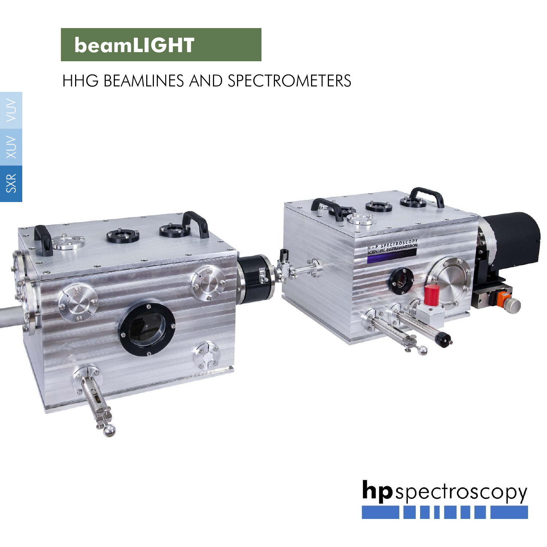## HHG BEAMLINES AND SPECTROMETERS



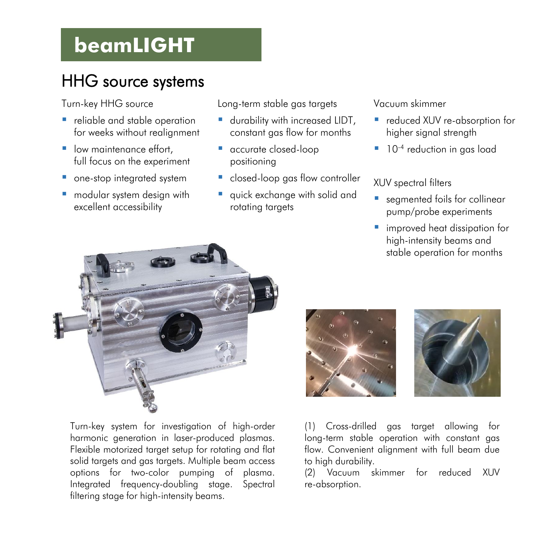## HHG source systems

Turn-key HHG source

- **•** reliable and stable operation for weeks without realignment
- low maintenance effort, full focus on the experiment
- **•** one-stop integrated system
- modular system design with excellent accessibility

Long-term stable gas targets

- **■** durability with increased LIDT, constant gas flow for months
- accurate closed-loop positioning
- **E** closed-loop gas flow controller
- quick exchange with solid and rotating targets

Vacuum skimmer

- reduced XUV re-absorption for higher signal strength
- **·** 10<sup>-4</sup> reduction in gas load

XUV spectral filters

- seamented foils for collinear pump/probe experiments
- **E** improved heat dissipation for high-intensity beams and stable operation for months



Turn-key system for investigation of high-order harmonic generation in laser-produced plasmas. Flexible motorized target setup for rotating and flat solid targets and gas targets. Multiple beam access options for two-color pumping of plasma. Integrated frequency-doubling stage. Spectral filtering stage for high-intensity beams.





(1) Cross-drilled gas target allowing for long-term stable operation with constant gas flow. Convenient alignment with full beam due to high durability.

(2) Vacuum skimmer for reduced XUV re-absorption.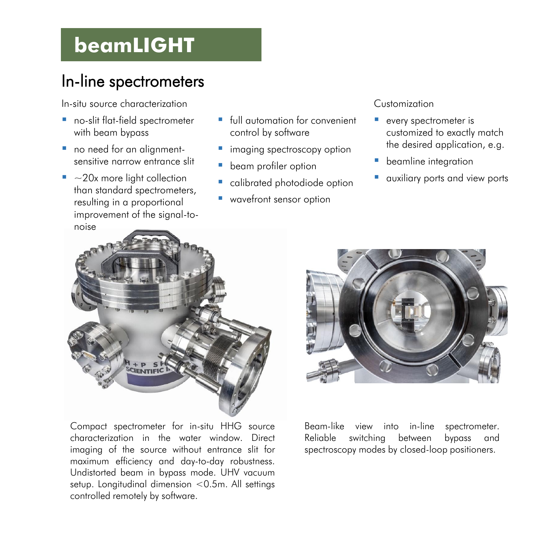### In-line spectrometers

In-situ source characterization

- no-slit flat-field spectrometer with beam bypass
- no need for an alianmentsensitive narrow entrance slit
- $\blacksquare$  ~20x more light collection than standard spectrometers, resulting in a proportional improvement of the signal-tonoise
- full automation for convenient control by software
- **·** imaging spectroscopy option
- **•** beam profiler option
- calibrated photodiode option
- wavefront sensor option

#### Customization

- every spectrometer is customized to exactly match the desired application, e.g.
- **•** beamline integration
- auxiliary ports and view ports



Compact spectrometer for in-situ HHG source characterization in the water window. Direct imaging of the source without entrance slit for maximum efficiency and day-to-day robustness. Undistorted beam in bypass mode. UHV vacuum setup. Longitudinal dimension <0.5m. All settings controlled remotely by software.



Beam-like view into in-line spectrometer. Reliable switching between bypass and spectroscopy modes by closed-loop positioners.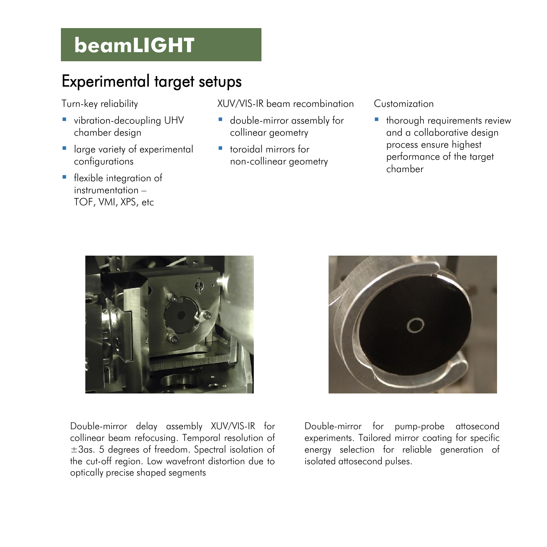### Experimental target setups

Turn-key reliability

- **·** vibration-decoupling UHV chamber design
- **E** large variety of experimental configurations
- **·** flexible integration of instrumentation – TOF, VMI, XPS, etc

XUV/VIS-IR beam recombination

- double-mirror assembly for collinear geometry
- toroidal mirrors for non-collinear geometry

Customization

**·** thorough requirements review and a collaborative design process ensure highest performance of the target chamber



Double-mirror delay assembly XUV/VIS-IR for collinear beam refocusing. Temporal resolution of ±3as. 5 degrees of freedom. Spectral isolation of the cut-off region. Low wavefront distortion due to optically precise shaped segments



Double-mirror for pump-probe attosecond experiments. Tailored mirror coating for specific energy selection for reliable generation of isolated attosecond pulses.